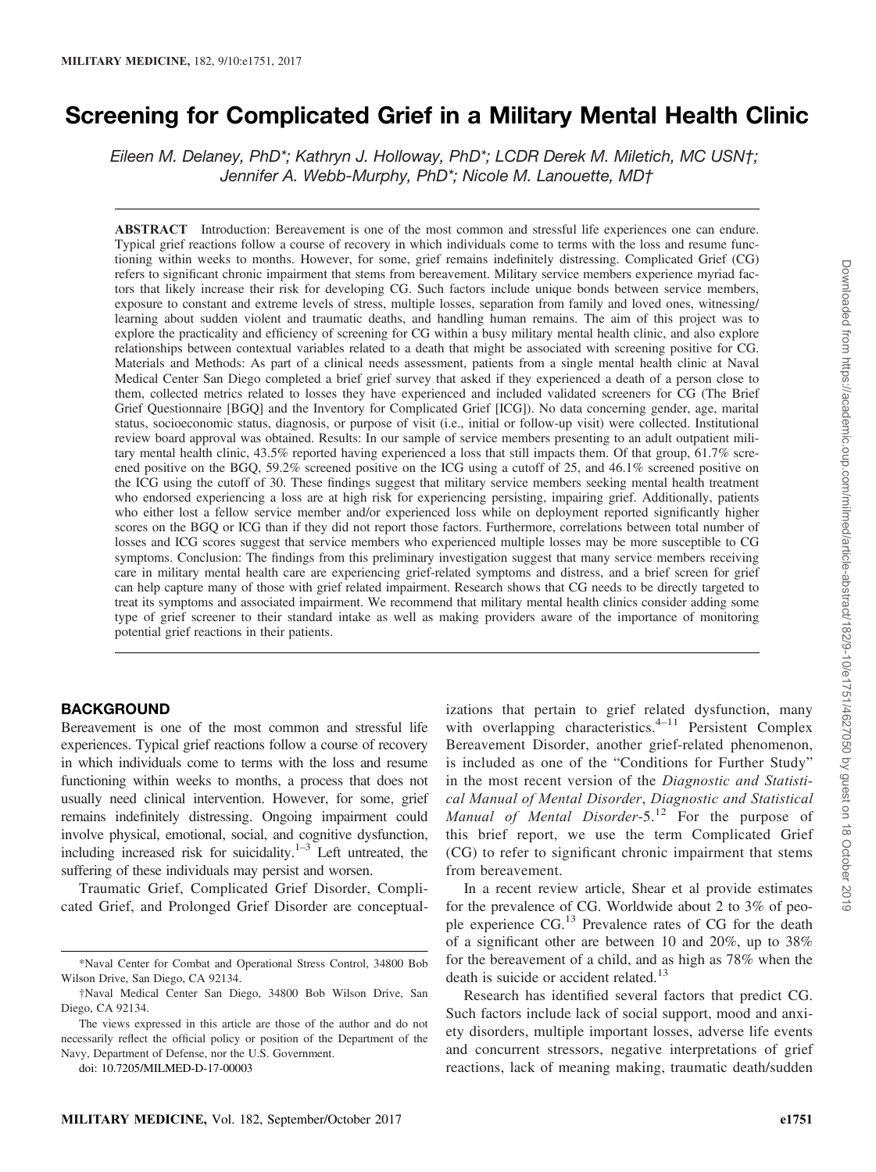# Screening for Complicated Grief in a Military Mental Health Clinic

Eileen M. Delaney, PhD\*; Kathryn J. Holloway, PhD\*; LCDR Derek M. Miletich, MC USN†; Jennifer A. Webb-Murphy, PhD\*; Nicole M. Lanouette, MD†

ABSTRACT Introduction: Bereavement is one of the most common and stressful life experiences one can endure. Typical grief reactions follow a course of recovery in which individuals come to terms with the loss and resume functioning within weeks to months. However, for some, grief remains indefinitely distressing. Complicated Grief (CG) refers to significant chronic impairment that stems from bereavement. Military service members experience myriad factors that likely increase their risk for developing CG. Such factors include unique bonds between service members, exposure to constant and extreme levels of stress, multiple losses, separation from family and loved ones, witnessing/ learning about sudden violent and traumatic deaths, and handling human remains. The aim of this project was to explore the practicality and efficiency of screening for CG within a busy military mental health clinic, and also explore relationships between contextual variables related to a death that might be associated with screening positive for CG. Materials and Methods: As part of a clinical needs assessment, patients from a single mental health clinic at Naval Medical Center San Diego completed a brief grief survey that asked if they experienced a death of a person close to them, collected metrics related to losses they have experienced and included validated screeners for CG (The Brief Grief Questionnaire [BGQ] and the Inventory for Complicated Grief [ICG]). No data concerning gender, age, marital status, socioeconomic status, diagnosis, or purpose of visit (i.e., initial or follow-up visit) were collected. Institutional review board approval was obtained. Results: In our sample of service members presenting to an adult outpatient military mental health clinic, 43.5% reported having experienced a loss that still impacts them. Of that group, 61.7% screened positive on the BGQ, 59.2% screened positive on the ICG using a cutoff of 25, and 46.1% screened positive on the ICG using the cutoff of 30. These findings suggest that military service members seeking mental health treatment who endorsed experiencing a loss are at high risk for experiencing persisting, impairing grief. Additionally, patients who either lost a fellow service member and/or experienced loss while on deployment reported significantly higher scores on the BGQ or ICG than if they did not report those factors. Furthermore, correlations between total number of losses and ICG scores suggest that service members who experienced multiple losses may be more susceptible to CG symptoms. Conclusion: The findings from this preliminary investigation suggest that many service members receiving care in military mental health care are experiencing grief-related symptoms and distress, and a brief screen for grief can help capture many of those with grief related impairment. Research shows that CG needs to be directly targeted to treat its symptoms and associated impairment. We recommend that military mental health clinics consider adding some type of grief screener to their standard intake as well as making providers aware of the importance of monitoring potential grief reactions in their patients.

## **BACKGROUND**

Bereavement is one of the most common and stressful life experiences. Typical grief reactions follow a course of recovery in which individuals come to terms with the loss and resume functioning within weeks to months, a process that does not usually need clinical intervention. However, for some, grief remains indefinitely distressing. Ongoing impairment could involve physical, emotional, social, and cognitive dysfunction, including increased risk for suicidality. $1-3$  Left untreated, the suffering of these individuals may persist and worsen.

Traumatic Grief, Complicated Grief Disorder, Complicated Grief, and Prolonged Grief Disorder are conceptual-

doi: 10.7205/MILMED-D-17-00003

izations that pertain to grief related dysfunction, many with overlapping characteristics. $4-11$  Persistent Complex Bereavement Disorder, another grief-related phenomenon, is included as one of the "Conditions for Further Study" in the most recent version of the Diagnostic and Statistical Manual of Mental Disorder, Diagnostic and Statistical Manual of Mental Disorder-5.<sup>12</sup> For the purpose of this brief report, we use the term Complicated Grief (CG) to refer to significant chronic impairment that stems from bereavement.

In a recent review article, Shear et al provide estimates for the prevalence of CG. Worldwide about 2 to 3% of people experience CG.<sup>13</sup> Prevalence rates of CG for the death of a significant other are between 10 and 20%, up to 38% for the bereavement of a child, and as high as 78% when the death is suicide or accident related.<sup>13</sup>

Research has identified several factors that predict CG. Such factors include lack of social support, mood and anxiety disorders, multiple important losses, adverse life events and concurrent stressors, negative interpretations of grief reactions, lack of meaning making, traumatic death/sudden

<sup>\*</sup>Naval Center for Combat and Operational Stress Control, 34800 Bob Wilson Drive, San Diego, CA 92134.

<sup>†</sup>Naval Medical Center San Diego, 34800 Bob Wilson Drive, San Diego, CA 92134.

The views expressed in this article are those of the author and do not necessarily reflect the official policy or position of the Department of the Navy, Department of Defense, nor the U.S. Government.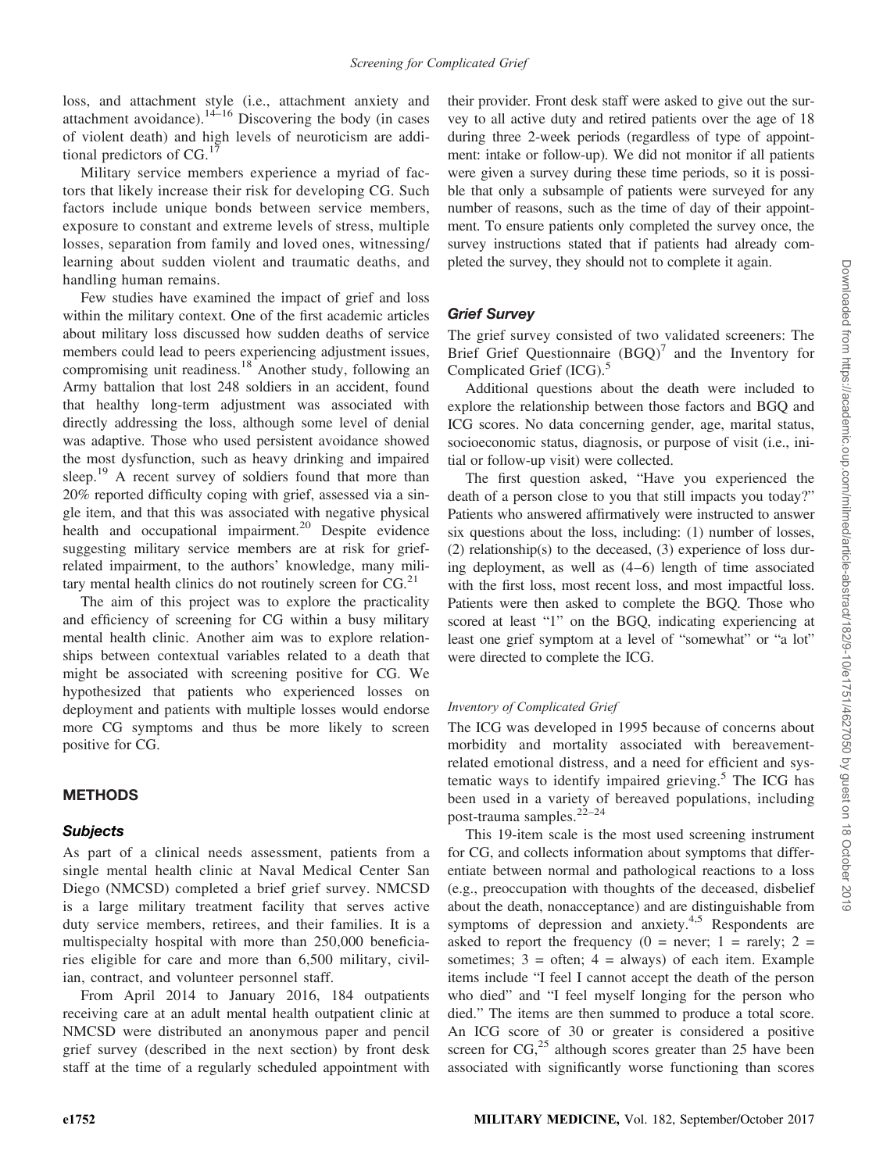loss, and attachment style (i.e., attachment anxiety and attachment avoidance). $14-16$  Discovering the body (in cases of violent death) and high levels of neuroticism are additional predictors of  $CG.$ <sup>17</sup>

Military service members experience a myriad of factors that likely increase their risk for developing CG. Such factors include unique bonds between service members, exposure to constant and extreme levels of stress, multiple losses, separation from family and loved ones, witnessing/ learning about sudden violent and traumatic deaths, and handling human remains.

Few studies have examined the impact of grief and loss within the military context. One of the first academic articles about military loss discussed how sudden deaths of service members could lead to peers experiencing adjustment issues, compromising unit readiness.<sup>18</sup> Another study, following an Army battalion that lost 248 soldiers in an accident, found that healthy long-term adjustment was associated with directly addressing the loss, although some level of denial was adaptive. Those who used persistent avoidance showed the most dysfunction, such as heavy drinking and impaired sleep.<sup>19</sup> A recent survey of soldiers found that more than 20% reported difficulty coping with grief, assessed via a single item, and that this was associated with negative physical health and occupational impairment.<sup>20</sup> Despite evidence suggesting military service members are at risk for griefrelated impairment, to the authors' knowledge, many military mental health clinics do not routinely screen for  $CG.^{21}$ 

The aim of this project was to explore the practicality and efficiency of screening for CG within a busy military mental health clinic. Another aim was to explore relationships between contextual variables related to a death that might be associated with screening positive for CG. We hypothesized that patients who experienced losses on deployment and patients with multiple losses would endorse more CG symptoms and thus be more likely to screen positive for CG.

# **METHODS**

## Subjects

As part of a clinical needs assessment, patients from a single mental health clinic at Naval Medical Center San Diego (NMCSD) completed a brief grief survey. NMCSD is a large military treatment facility that serves active duty service members, retirees, and their families. It is a multispecialty hospital with more than 250,000 beneficiaries eligible for care and more than 6,500 military, civilian, contract, and volunteer personnel staff.

From April 2014 to January 2016, 184 outpatients receiving care at an adult mental health outpatient clinic at NMCSD were distributed an anonymous paper and pencil grief survey (described in the next section) by front desk staff at the time of a regularly scheduled appointment with their provider. Front desk staff were asked to give out the survey to all active duty and retired patients over the age of 18 during three 2-week periods (regardless of type of appointment: intake or follow-up). We did not monitor if all patients were given a survey during these time periods, so it is possible that only a subsample of patients were surveyed for any number of reasons, such as the time of day of their appointment. To ensure patients only completed the survey once, the survey instructions stated that if patients had already completed the survey, they should not to complete it again.

# Grief Survey

The grief survey consisted of two validated screeners: The Brief Grief Questionnaire  $(BGQ)^7$  and the Inventory for Complicated Grief  $(ICG)$ .<sup>5</sup>

Additional questions about the death were included to explore the relationship between those factors and BGQ and ICG scores. No data concerning gender, age, marital status, socioeconomic status, diagnosis, or purpose of visit (i.e., initial or follow-up visit) were collected.

The first question asked, "Have you experienced the death of a person close to you that still impacts you today?" Patients who answered affirmatively were instructed to answer six questions about the loss, including: (1) number of losses, (2) relationship(s) to the deceased, (3) experience of loss during deployment, as well as (4–6) length of time associated with the first loss, most recent loss, and most impactful loss. Patients were then asked to complete the BGQ. Those who scored at least "1" on the BGQ, indicating experiencing at least one grief symptom at a level of "somewhat" or "a lot" were directed to complete the ICG.

## Inventory of Complicated Grief

The ICG was developed in 1995 because of concerns about morbidity and mortality associated with bereavementrelated emotional distress, and a need for efficient and systematic ways to identify impaired grieving. $5$  The ICG has been used in a variety of bereaved populations, including post-trauma samples.<sup>22–24</sup>

This 19-item scale is the most used screening instrument for CG, and collects information about symptoms that differentiate between normal and pathological reactions to a loss (e.g., preoccupation with thoughts of the deceased, disbelief about the death, nonacceptance) and are distinguishable from symptoms of depression and anxiety.<sup>4,5</sup> Respondents are asked to report the frequency  $(0 =$  never;  $1 =$  rarely;  $2 =$ sometimes;  $3 =$  often;  $4 =$  always) of each item. Example items include "I feel I cannot accept the death of the person who died" and "I feel myself longing for the person who died." The items are then summed to produce a total score. An ICG score of 30 or greater is considered a positive screen for  $CG<sub>1</sub><sup>25</sup>$  although scores greater than 25 have been associated with significantly worse functioning than scores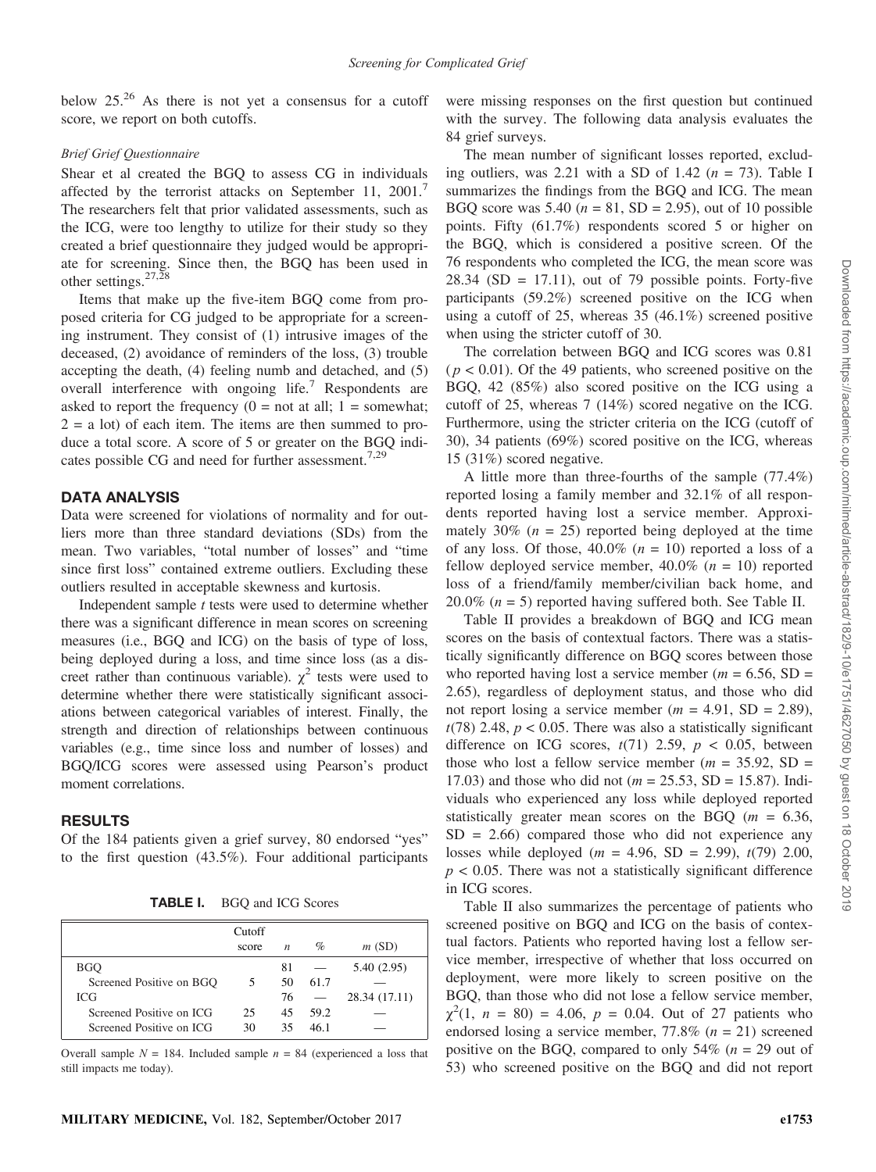below  $25.^{26}$  As there is not yet a consensus for a cutoff score, we report on both cutoffs.

#### Brief Grief Questionnaire

Shear et al created the BGQ to assess CG in individuals affected by the terrorist attacks on September 11, 2001.<sup>7</sup> The researchers felt that prior validated assessments, such as the ICG, were too lengthy to utilize for their study so they created a brief questionnaire they judged would be appropriate for screening. Since then, the BGQ has been used in other settings.  $27,28$ 

Items that make up the five-item BGQ come from proposed criteria for CG judged to be appropriate for a screening instrument. They consist of (1) intrusive images of the deceased, (2) avoidance of reminders of the loss, (3) trouble accepting the death, (4) feeling numb and detached, and (5) overall interference with ongoing life.<sup>7</sup> Respondents are asked to report the frequency  $(0 = not at all; 1 = somewhat;$  $2 = a$  lot) of each item. The items are then summed to produce a total score. A score of 5 or greater on the BGQ indicates possible CG and need for further assessment.<sup>7,29</sup>

# DATA ANALYSIS

Data were screened for violations of normality and for outliers more than three standard deviations (SDs) from the mean. Two variables, "total number of losses" and "time since first loss" contained extreme outliers. Excluding these outliers resulted in acceptable skewness and kurtosis.

Independent sample *t* tests were used to determine whether there was a significant difference in mean scores on screening measures (i.e., BGQ and ICG) on the basis of type of loss, being deployed during a loss, and time since loss (as a discreet rather than continuous variable).  $\chi^2$  tests were used to determine whether there were statistically significant associations between categorical variables of interest. Finally, the strength and direction of relationships between continuous variables (e.g., time since loss and number of losses) and BGQ/ICG scores were assessed using Pearson's product moment correlations.

# RESULTS

Of the 184 patients given a grief survey, 80 endorsed "yes" to the first question (43.5%). Four additional participants

TABLE I. BGQ and ICG Scores

|                          | Cutoff<br>score | $\boldsymbol{n}$ | $\%$ | m(SD)         |
|--------------------------|-----------------|------------------|------|---------------|
| <b>BGO</b>               |                 | 81               |      | 5.40 (2.95)   |
| Screened Positive on BGO | 5               | 50               | 61.7 |               |
| <b>ICG</b>               |                 | 76               |      | 28.34 (17.11) |
| Screened Positive on ICG | 25              | 45               | 59.2 |               |
| Screened Positive on ICG | 30              | 35               | 46.1 |               |

Overall sample  $N = 184$ . Included sample  $n = 84$  (experienced a loss that still impacts me today).

were missing responses on the first question but continued with the survey. The following data analysis evaluates the 84 grief surveys.

The mean number of significant losses reported, excluding outliers, was 2.21 with a SD of 1.42 ( $n = 73$ ). Table I summarizes the findings from the BGQ and ICG. The mean BGQ score was 5.40 ( $n = 81$ , SD = 2.95), out of 10 possible points. Fifty (61.7%) respondents scored 5 or higher on the BGQ, which is considered a positive screen. Of the 76 respondents who completed the ICG, the mean score was  $28.34$  (SD = 17.11), out of 79 possible points. Forty-five participants (59.2%) screened positive on the ICG when using a cutoff of 25, whereas 35 (46.1%) screened positive when using the stricter cutoff of 30.

The correlation between BGQ and ICG scores was 0.81  $(p < 0.01)$ . Of the 49 patients, who screened positive on the BGQ, 42 (85%) also scored positive on the ICG using a cutoff of 25, whereas 7 (14%) scored negative on the ICG. Furthermore, using the stricter criteria on the ICG (cutoff of 30), 34 patients (69%) scored positive on the ICG, whereas 15 (31%) scored negative.

A little more than three-fourths of the sample (77.4%) reported losing a family member and 32.1% of all respondents reported having lost a service member. Approximately 30% ( $n = 25$ ) reported being deployed at the time of any loss. Of those,  $40.0\%$  ( $n = 10$ ) reported a loss of a fellow deployed service member,  $40.0\%$  ( $n = 10$ ) reported loss of a friend/family member/civilian back home, and 20.0% ( $n = 5$ ) reported having suffered both. See Table II.

Table II provides a breakdown of BGQ and ICG mean scores on the basis of contextual factors. There was a statistically significantly difference on BGQ scores between those who reported having lost a service member ( $m = 6.56$ , SD = 2.65), regardless of deployment status, and those who did not report losing a service member ( $m = 4.91$ , SD = 2.89),  $t(78)$  2.48,  $p < 0.05$ . There was also a statistically significant difference on ICG scores,  $t(71)$  2.59,  $p < 0.05$ , between those who lost a fellow service member ( $m = 35.92$ , SD = 17.03) and those who did not ( $m = 25.53$ , SD = 15.87). Individuals who experienced any loss while deployed reported statistically greater mean scores on the BGQ  $(m = 6.36,$  $SD = 2.66$ ) compared those who did not experience any losses while deployed ( $m = 4.96$ , SD = 2.99),  $t(79)$  2.00,  $p < 0.05$ . There was not a statistically significant difference in ICG scores.

Table II also summarizes the percentage of patients who screened positive on BGQ and ICG on the basis of contextual factors. Patients who reported having lost a fellow service member, irrespective of whether that loss occurred on deployment, were more likely to screen positive on the BGQ, than those who did not lose a fellow service member,  $\chi^2(1, n = 80) = 4.06$ ,  $p = 0.04$ . Out of 27 patients who endorsed losing a service member,  $77.8\%$  ( $n = 21$ ) screened positive on the BGQ, compared to only 54% ( $n = 29$  out of 53) who screened positive on the BGQ and did not report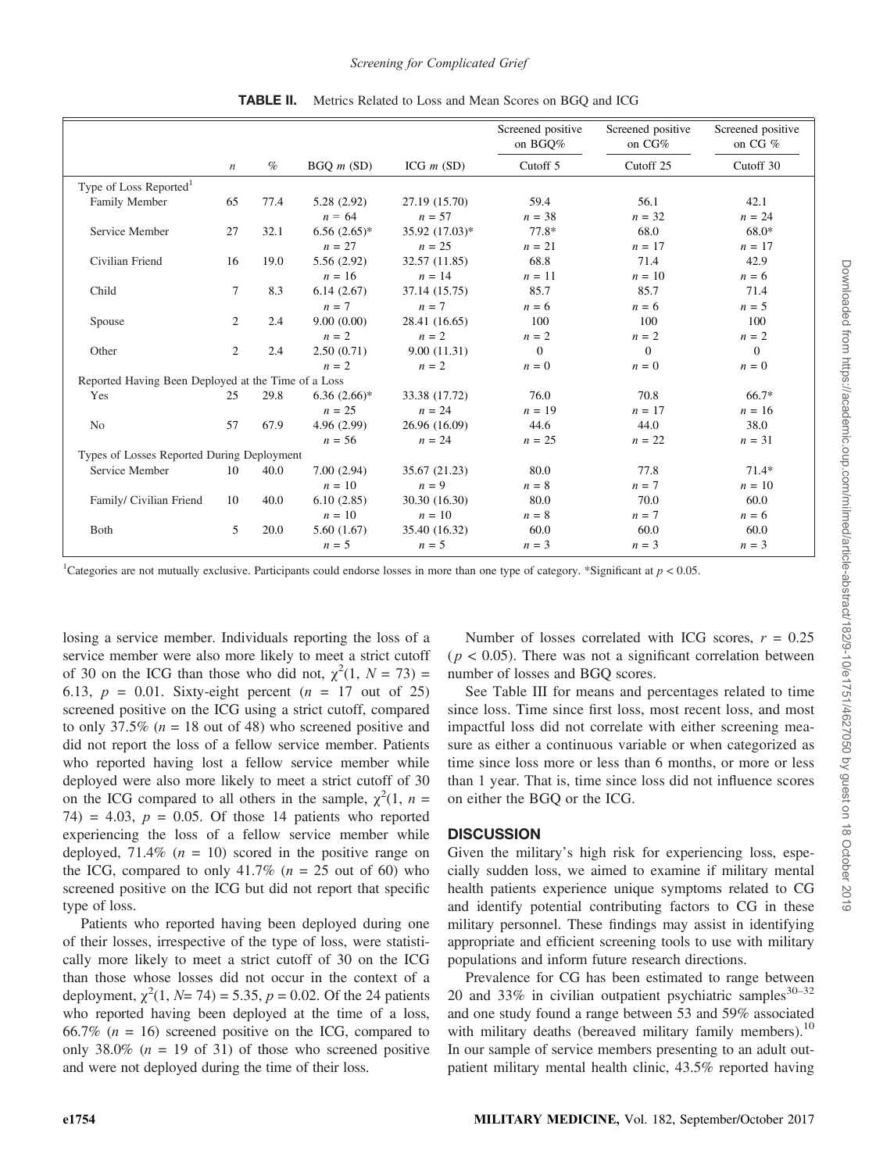|                                                     |                  |      |                     |                | Screened positive<br>on BGO% | Screened positive<br>on CG% | Screened positive<br>on CG % |
|-----------------------------------------------------|------------------|------|---------------------|----------------|------------------------------|-----------------------------|------------------------------|
|                                                     | $\boldsymbol{n}$ | $\%$ | $BGO$ <i>m</i> (SD) | ICG $m$ (SD)   | Cutoff 5                     | Cutoff <sub>25</sub>        | Cutoff 30                    |
| Type of Loss Reported <sup>1</sup>                  |                  |      |                     |                |                              |                             |                              |
| Family Member                                       | 65               | 77.4 | 5.28(2.92)          | 27.19 (15.70)  | 59.4                         | 56.1                        | 42.1                         |
|                                                     |                  |      | $n = 64$            | $n = 57$       | $n = 38$                     | $n = 32$                    | $n = 24$                     |
| Service Member                                      | 27               | 32.1 | $6.56(2.65)*$       | 35.92 (17.03)* | 77.8*                        | 68.0                        | 68.0*                        |
|                                                     |                  |      | $n = 27$            | $n = 25$       | $n = 21$                     | $n = 17$                    | $n = 17$                     |
| Civilian Friend                                     | 16               | 19.0 | 5.56(2.92)          | 32.57 (11.85)  | 68.8                         | 71.4                        | 42.9                         |
|                                                     |                  |      | $n = 16$            | $n = 14$       | $n = 11$                     | $n = 10$                    | $n = 6$                      |
| Child                                               | 7                | 8.3  | 6.14(2.67)          | 37.14 (15.75)  | 85.7                         | 85.7                        | 71.4                         |
|                                                     |                  |      | $n = 7$             | $n=7$          | $n = 6$                      | $n = 6$                     | $n = 5$                      |
| Spouse                                              | 2                | 2.4  | 9.00(0.00)          | 28.41 (16.65)  | 100                          | 100                         | 100                          |
|                                                     |                  |      | $n = 2$             | $n = 2$        | $n = 2$                      | $n = 2$                     | $n = 2$                      |
| Other                                               | 2                | 2.4  | 2.50(0.71)          | 9.00(11.31)    | $\overline{0}$               | $\Omega$                    | $\overline{0}$               |
|                                                     |                  |      | $n = 2$             | $n = 2$        | $n=0$                        | $n = 0$                     | $n = 0$                      |
| Reported Having Been Deployed at the Time of a Loss |                  |      |                     |                |                              |                             |                              |
| Yes                                                 | 25               | 29.8 | $6.36(2.66)*$       | 33.38 (17.72)  | 76.0                         | 70.8                        | 66.7*                        |
|                                                     |                  |      | $n = 25$            | $n = 24$       | $n = 19$                     | $n = 17$                    | $n = 16$                     |
| No                                                  | 57               | 67.9 | 4.96(2.99)          | 26.96 (16.09)  | 44.6                         | 44.0                        | 38.0                         |
|                                                     |                  |      | $n = 56$            | $n = 24$       | $n = 25$                     | $n = 22$                    | $n = 31$                     |
| Types of Losses Reported During Deployment          |                  |      |                     |                |                              |                             |                              |
| Service Member                                      | 10               | 40.0 | 7.00(2.94)          | 35.67 (21.23)  | 80.0                         | 77.8                        | $71.4*$                      |
|                                                     |                  |      | $n = 10$            | $n = 9$        | $n = 8$                      | $n=7$                       | $n = 10$                     |
| Family/ Civilian Friend                             | 10               | 40.0 | 6.10(2.85)          | 30.30 (16.30)  | 80.0                         | 70.0                        | 60.0                         |
|                                                     |                  |      | $n = 10$            | $n = 10$       | $n = 8$                      | $n = 7$                     | $n = 6$                      |
| Both                                                | 5                | 20.0 | 5.60(1.67)          | 35.40 (16.32)  | 60.0                         | 60.0                        | 60.0                         |
|                                                     |                  |      | $n = 5$             | $n = 5$        | $n = 3$                      | $n = 3$                     | $n = 3$                      |

TABLE II. Metrics Related to Loss and Mean Scores on BGQ and ICG

<sup>1</sup>Categories are not mutually exclusive. Participants could endorse losses in more than one type of category. \*Significant at  $p < 0.05$ .

losing a service member. Individuals reporting the loss of a service member were also more likely to meet a strict cutoff of 30 on the ICG than those who did not,  $\chi^2(1, N = 73)$  = 6.13,  $p = 0.01$ . Sixty-eight percent  $(n = 17$  out of 25) screened positive on the ICG using a strict cutoff, compared to only 37.5% ( $n = 18$  out of 48) who screened positive and did not report the loss of a fellow service member. Patients who reported having lost a fellow service member while deployed were also more likely to meet a strict cutoff of 30 on the ICG compared to all others in the sample,  $\chi^2(1, n =$ 74) = 4.03,  $p = 0.05$ . Of those 14 patients who reported experiencing the loss of a fellow service member while deployed, 71.4% ( $n = 10$ ) scored in the positive range on the ICG, compared to only 41.7% ( $n = 25$  out of 60) who screened positive on the ICG but did not report that specific type of loss.

Patients who reported having been deployed during one of their losses, irrespective of the type of loss, were statistically more likely to meet a strict cutoff of 30 on the ICG than those whose losses did not occur in the context of a deployment,  $\chi^2(1, N= 74) = 5.35, p = 0.02$ . Of the 24 patients who reported having been deployed at the time of a loss, 66.7% ( $n = 16$ ) screened positive on the ICG, compared to only 38.0% ( $n = 19$  of 31) of those who screened positive and were not deployed during the time of their loss.

Number of losses correlated with ICG scores,  $r = 0.25$  $(p < 0.05)$ . There was not a significant correlation between number of losses and BGQ scores.

See Table III for means and percentages related to time since loss. Time since first loss, most recent loss, and most impactful loss did not correlate with either screening measure as either a continuous variable or when categorized as time since loss more or less than 6 months, or more or less than 1 year. That is, time since loss did not influence scores on either the BGQ or the ICG.

## **DISCUSSION**

Given the military's high risk for experiencing loss, especially sudden loss, we aimed to examine if military mental health patients experience unique symptoms related to CG and identify potential contributing factors to CG in these military personnel. These findings may assist in identifying appropriate and efficient screening tools to use with military populations and inform future research directions.

Prevalence for CG has been estimated to range between 20 and 33% in civilian outpatient psychiatric samples $30-32$ and one study found a range between 53 and 59% associated with military deaths (bereaved military family members).<sup>10</sup> In our sample of service members presenting to an adult outpatient military mental health clinic, 43.5% reported having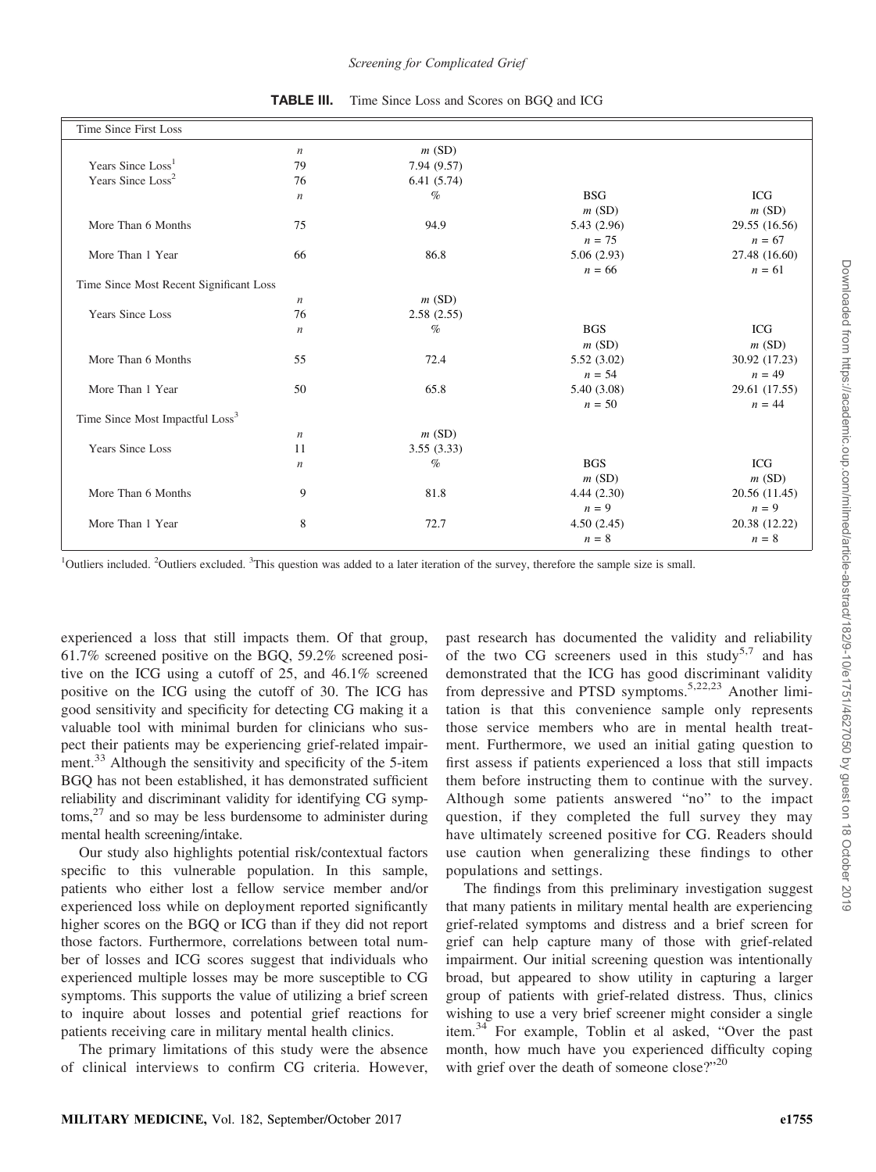| Time Since First Loss                       |                  |             |             |               |
|---------------------------------------------|------------------|-------------|-------------|---------------|
|                                             | $\it n$          | m(SD)       |             |               |
| Years Since Loss <sup>1</sup>               | 79               | 7.94 (9.57) |             |               |
| Years Since Loss <sup>2</sup>               | 76               | 6.41(5.74)  |             |               |
|                                             | $\boldsymbol{n}$ | $\%$        | <b>BSG</b>  | <b>ICG</b>    |
|                                             |                  |             | m(SD)       | m(SD)         |
| More Than 6 Months                          | 75               | 94.9        | 5.43 (2.96) | 29.55 (16.56) |
|                                             |                  |             | $n = 75$    | $n = 67$      |
| More Than 1 Year                            | 66               | 86.8        | 5.06(2.93)  | 27.48 (16.60) |
|                                             |                  |             | $n = 66$    | $n = 61$      |
| Time Since Most Recent Significant Loss     |                  |             |             |               |
|                                             | $\boldsymbol{n}$ | m(SD)       |             |               |
| <b>Years Since Loss</b>                     | 76               | 2.58(2.55)  |             |               |
|                                             | $\boldsymbol{n}$ | $\%$        | <b>BGS</b>  | <b>ICG</b>    |
|                                             |                  |             | m(SD)       | m(SD)         |
| More Than 6 Months                          | 55               | 72.4        | 5.52(3.02)  | 30.92 (17.23) |
|                                             |                  |             | $n = 54$    | $n = 49$      |
| More Than 1 Year                            | 50               | 65.8        | 5.40 (3.08) | 29.61 (17.55) |
|                                             |                  |             | $n = 50$    | $n = 44$      |
| Time Since Most Impactful Loss <sup>3</sup> |                  |             |             |               |
|                                             | $\boldsymbol{n}$ | m(SD)       |             |               |
| <b>Years Since Loss</b>                     | 11               | 3.55(3.33)  |             |               |
|                                             | $\boldsymbol{n}$ | $\%$        | <b>BGS</b>  | <b>ICG</b>    |
|                                             |                  |             | m(SD)       | m(SD)         |
| More Than 6 Months                          | 9                | 81.8        | 4.44(2.30)  | 20.56 (11.45) |
|                                             |                  |             | $n = 9$     | $n = 9$       |
| More Than 1 Year                            | 8                | 72.7        | 4.50(2.45)  | 20.38 (12.22) |
|                                             |                  |             | $n = 8$     | $n = 8$       |

TABLE III. Time Since Loss and Scores on BGQ and ICG

<sup>1</sup>Outliers included. <sup>2</sup>Outliers excluded. <sup>3</sup>This question was added to a later iteration of the survey, therefore the sample size is small.

experienced a loss that still impacts them. Of that group, 61.7% screened positive on the BGQ, 59.2% screened positive on the ICG using a cutoff of 25, and 46.1% screened positive on the ICG using the cutoff of 30. The ICG has good sensitivity and specificity for detecting CG making it a valuable tool with minimal burden for clinicians who suspect their patients may be experiencing grief-related impairment.<sup>33</sup> Although the sensitivity and specificity of the 5-item BGQ has not been established, it has demonstrated sufficient reliability and discriminant validity for identifying CG symp $toms<sub>1</sub><sup>27</sup>$  and so may be less burdensome to administer during mental health screening/intake.

Our study also highlights potential risk/contextual factors specific to this vulnerable population. In this sample, patients who either lost a fellow service member and/or experienced loss while on deployment reported significantly higher scores on the BGQ or ICG than if they did not report those factors. Furthermore, correlations between total number of losses and ICG scores suggest that individuals who experienced multiple losses may be more susceptible to CG symptoms. This supports the value of utilizing a brief screen to inquire about losses and potential grief reactions for patients receiving care in military mental health clinics.

The primary limitations of this study were the absence of clinical interviews to confirm CG criteria. However, past research has documented the validity and reliability of the two CG screeners used in this study<sup>5,7</sup> and has demonstrated that the ICG has good discriminant validity from depressive and PTSD symptoms.5,22,23 Another limitation is that this convenience sample only represents those service members who are in mental health treatment. Furthermore, we used an initial gating question to first assess if patients experienced a loss that still impacts them before instructing them to continue with the survey. Although some patients answered "no" to the impact question, if they completed the full survey they may have ultimately screened positive for CG. Readers should use caution when generalizing these findings to other populations and settings.

The findings from this preliminary investigation suggest that many patients in military mental health are experiencing grief-related symptoms and distress and a brief screen for grief can help capture many of those with grief-related impairment. Our initial screening question was intentionally broad, but appeared to show utility in capturing a larger group of patients with grief-related distress. Thus, clinics wishing to use a very brief screener might consider a single item.<sup>34</sup> For example, Toblin et al asked, "Over the past month, how much have you experienced difficulty coping with grief over the death of someone close?"<sup>20</sup>